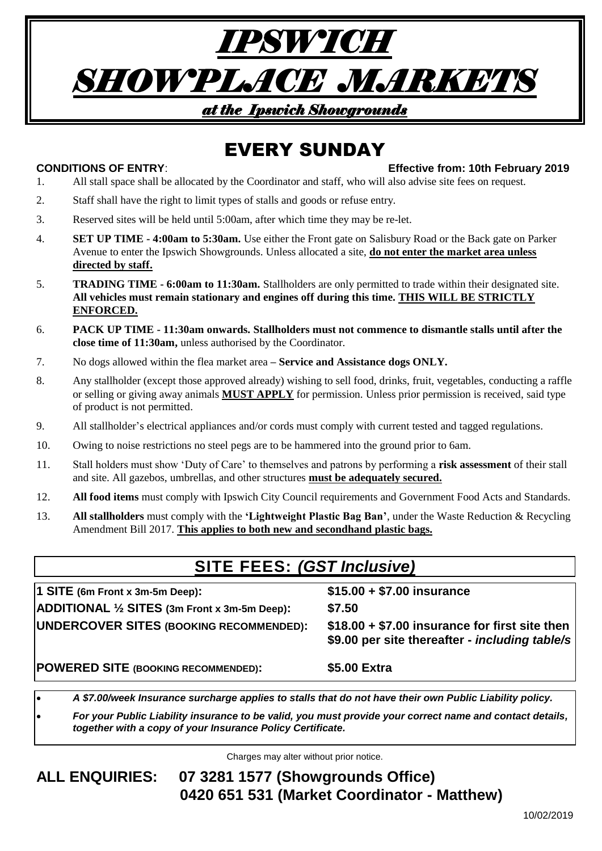# *IPSWICH SHOWPLACE MARKETS at the Ipswich Showgrounds*

# EVERY SUNDAY

### **CONDITIONS OF ENTRY**: **Effective from: 10th February 2019**

- 1. All stall space shall be allocated by the Coordinator and staff, who will also advise site fees on request.
- 2. Staff shall have the right to limit types of stalls and goods or refuse entry.
- 3. Reserved sites will be held until 5:00am, after which time they may be re-let.
- 4. **SET UP TIME - 4:00am to 5:30am.** Use either the Front gate on Salisbury Road or the Back gate on Parker Avenue to enter the Ipswich Showgrounds. Unless allocated a site, **do not enter the market area unless directed by staff.**
- 5. **TRADING TIME - 6:00am to 11:30am.** Stallholders are only permitted to trade within their designated site. **All vehicles must remain stationary and engines off during this time. THIS WILL BE STRICTLY ENFORCED.**
- 6. **PACK UP TIME - 11:30am onwards. Stallholders must not commence to dismantle stalls until after the close time of 11:30am,** unless authorised by the Coordinator.
- 7. No dogs allowed within the flea market area **– Service and Assistance dogs ONLY.**
- 8. Any stallholder (except those approved already) wishing to sell food, drinks, fruit, vegetables, conducting a raffle or selling or giving away animals **MUST APPLY** for permission. Unless prior permission is received, said type of product is not permitted.
- 9. All stallholder's electrical appliances and/or cords must comply with current tested and tagged regulations.
- 10. Owing to noise restrictions no steel pegs are to be hammered into the ground prior to 6am.
- 11. Stall holders must show 'Duty of Care' to themselves and patrons by performing a **risk assessment** of their stall and site. All gazebos, umbrellas, and other structures **must be adequately secured.**
- 12. **All food items** must comply with Ipswich City Council requirements and Government Food Acts and Standards.
- 13. **All stallholders** must comply with the **'Lightweight Plastic Bag Ban'**, under the Waste Reduction & Recycling Amendment Bill 2017. **This applies to both new and secondhand plastic bags.**

## **SITE FEES:** *(GST Inclusive)*

| 1 SITE (6m Front x 3m-5m Deep):<br>ADDITIONAL 1/2 SITES (3m Front x 3m-5m Deep): | $$15.00 + $7.00$ insurance<br>\$7.50                                                             |
|----------------------------------------------------------------------------------|--------------------------------------------------------------------------------------------------|
| <b>UNDERCOVER SITES (BOOKING RECOMMENDED):</b>                                   | $$18.00 + $7.00$ insurance for first site then<br>\$9.00 per site thereafter - including table/s |
| POWERED SITE (BOOKING RECOMMENDED):                                              | \$5.00 Extra                                                                                     |

• *A \$7.00/week Insurance surcharge applies to stalls that do not have their own Public Liability policy.*

• *For your Public Liability insurance to be valid, you must provide your correct name and contact details, together with a copy of your Insurance Policy Certificate.*

Charges may alter without prior notice.

### **ALL ENQUIRIES: 07 3281 1577 (Showgrounds Office) 0420 651 531 (Market Coordinator - Matthew)**